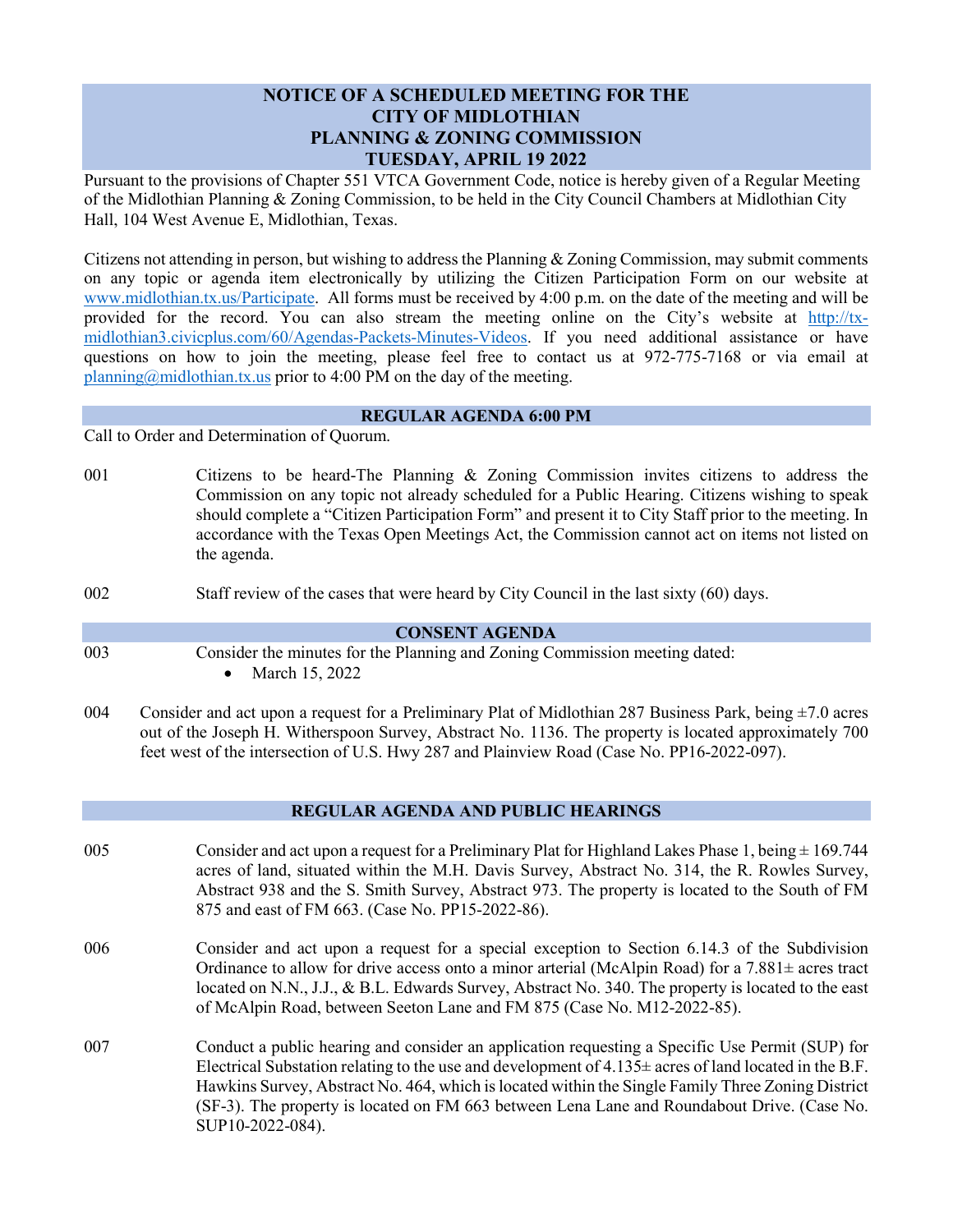# **NOTICE OF A SCHEDULED MEETING FOR THE CITY OF MIDLOTHIAN PLANNING & ZONING COMMISSION TUESDAY, APRIL 19 2022**

Pursuant to the provisions of Chapter 551 VTCA Government Code, notice is hereby given of a Regular Meeting of the Midlothian Planning & Zoning Commission, to be held in the City Council Chambers at Midlothian City Hall, 104 West Avenue E, Midlothian, Texas.

Citizens not attending in person, but wishing to address the Planning & Zoning Commission, may submit comments on any topic or agenda item electronically by utilizing the Citizen Participation Form on our website at [www.midlothian.tx.us/Participate.](http://www.midlothian.tx.us/Participate) All forms must be received by 4:00 p.m. on the date of the meeting and will be provided for the record. You can also stream the meeting online on the City's website at [http://tx](http://tx-midlothian3.civicplus.com/60/Agendas-Packets-Minutes-Videos)[midlothian3.civicplus.com/60/Agendas-Packets-Minutes-Videos.](http://tx-midlothian3.civicplus.com/60/Agendas-Packets-Minutes-Videos) If you need additional assistance or have questions on how to join the meeting, please feel free to contact us at 972-775-7168 or via email at [planning@midlothian.tx.us](mailto:planning@midlothian.tx.us) prior to 4:00 PM on the day of the meeting.

### **REGULAR AGENDA 6:00 PM**

Call to Order and Determination of Quorum.

- 001 Citizens to be heard-The Planning & Zoning Commission invites citizens to address the Commission on any topic not already scheduled for a Public Hearing. Citizens wishing to speak should complete a "Citizen Participation Form" and present it to City Staff prior to the meeting. In accordance with the Texas Open Meetings Act, the Commission cannot act on items not listed on the agenda.
- 002 Staff review of the cases that were heard by City Council in the last sixty (60) days.

### **CONSENT AGENDA**

- 003 Consider the minutes for the Planning and Zoning Commission meeting dated:
	- March 15, 2022
- 004 Consider and act upon a request for a Preliminary Plat of Midlothian 287 Business Park, being  $\pm$ 7.0 acres out of the Joseph H. Witherspoon Survey, Abstract No. 1136. The property is located approximately 700 feet west of the intersection of U.S. Hwy 287 and Plainview Road (Case No. PP16-2022-097).

## **REGULAR AGENDA AND PUBLIC HEARINGS**

- 005 Consider and act upon a request for a Preliminary Plat for Highland Lakes Phase 1, being  $\pm$  169.744 acres of land, situated within the M.H. Davis Survey, Abstract No. 314, the R. Rowles Survey, Abstract 938 and the S. Smith Survey, Abstract 973. The property is located to the South of FM 875 and east of FM 663. (Case No. PP15-2022-86).
- 006 Consider and act upon a request for a special exception to Section 6.14.3 of the Subdivision Ordinance to allow for drive access onto a minor arterial (McAlpin Road) for a 7.881± acres tract located on N.N., J.J., & B.L. Edwards Survey, Abstract No. 340. The property is located to the east of McAlpin Road, between Seeton Lane and FM 875 (Case No. M12-2022-85).
- 007 Conduct a public hearing and consider an application requesting a Specific Use Permit (SUP) for Electrical Substation relating to the use and development of  $4.135\pm$  acres of land located in the B.F. Hawkins Survey, Abstract No. 464, which is located within the Single Family Three Zoning District (SF-3). The property is located on FM 663 between Lena Lane and Roundabout Drive. (Case No. SUP10-2022-084).